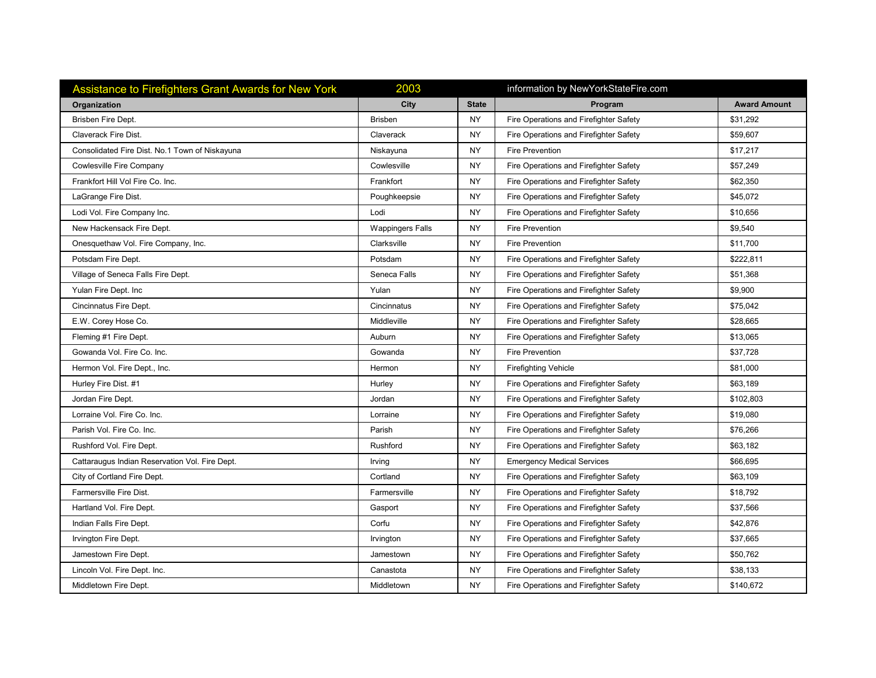| <b>Assistance to Firefighters Grant Awards for New York</b> | 2003                    |              | information by NewYorkStateFire.com    |                     |
|-------------------------------------------------------------|-------------------------|--------------|----------------------------------------|---------------------|
| Organization                                                | City                    | <b>State</b> | Program                                | <b>Award Amount</b> |
| Brisben Fire Dept.                                          | <b>Brisben</b>          | <b>NY</b>    | Fire Operations and Firefighter Safety | \$31,292            |
| Claverack Fire Dist.                                        | Claverack               | <b>NY</b>    | Fire Operations and Firefighter Safety | \$59,607            |
| Consolidated Fire Dist. No.1 Town of Niskayuna              | Niskayuna               | <b>NY</b>    | <b>Fire Prevention</b>                 | \$17,217            |
| Cowlesville Fire Company                                    | Cowlesville             | <b>NY</b>    | Fire Operations and Firefighter Safety | \$57,249            |
| Frankfort Hill Vol Fire Co. Inc.                            | Frankfort               | <b>NY</b>    | Fire Operations and Firefighter Safety | \$62,350            |
| LaGrange Fire Dist.                                         | Poughkeepsie            | <b>NY</b>    | Fire Operations and Firefighter Safety | \$45,072            |
| Lodi Vol. Fire Company Inc.                                 | Lodi                    | <b>NY</b>    | Fire Operations and Firefighter Safety | \$10,656            |
| New Hackensack Fire Dept.                                   | <b>Wappingers Falls</b> | <b>NY</b>    | <b>Fire Prevention</b>                 | \$9,540             |
| Onesquethaw Vol. Fire Company, Inc.                         | Clarksville             | <b>NY</b>    | <b>Fire Prevention</b>                 | \$11,700            |
| Potsdam Fire Dept.                                          | Potsdam                 | <b>NY</b>    | Fire Operations and Firefighter Safety | \$222,811           |
| Village of Seneca Falls Fire Dept.                          | Seneca Falls            | <b>NY</b>    | Fire Operations and Firefighter Safety | \$51,368            |
| Yulan Fire Dept. Inc                                        | Yulan                   | <b>NY</b>    | Fire Operations and Firefighter Safety | \$9,900             |
| Cincinnatus Fire Dept.                                      | Cincinnatus             | <b>NY</b>    | Fire Operations and Firefighter Safety | \$75,042            |
| E.W. Corey Hose Co.                                         | Middleville             | <b>NY</b>    | Fire Operations and Firefighter Safety | \$28,665            |
| Fleming #1 Fire Dept.                                       | Auburn                  | <b>NY</b>    | Fire Operations and Firefighter Safety | \$13,065            |
| Gowanda Vol. Fire Co. Inc.                                  | Gowanda                 | <b>NY</b>    | <b>Fire Prevention</b>                 | \$37,728            |
| Hermon Vol. Fire Dept., Inc.                                | Hermon                  | <b>NY</b>    | <b>Firefighting Vehicle</b>            | \$81,000            |
| Hurley Fire Dist. #1                                        | Hurley                  | <b>NY</b>    | Fire Operations and Firefighter Safety | \$63,189            |
| Jordan Fire Dept.                                           | Jordan                  | <b>NY</b>    | Fire Operations and Firefighter Safety | \$102,803           |
| Lorraine Vol. Fire Co. Inc.                                 | Lorraine                | <b>NY</b>    | Fire Operations and Firefighter Safety | \$19,080            |
| Parish Vol. Fire Co. Inc.                                   | Parish                  | <b>NY</b>    | Fire Operations and Firefighter Safety | \$76,266            |
| Rushford Vol. Fire Dept.                                    | Rushford                | <b>NY</b>    | Fire Operations and Firefighter Safety | \$63,182            |
| Cattaraugus Indian Reservation Vol. Fire Dept.              | Irving                  | <b>NY</b>    | <b>Emergency Medical Services</b>      | \$66,695            |
| City of Cortland Fire Dept.                                 | Cortland                | <b>NY</b>    | Fire Operations and Firefighter Safety | \$63,109            |
| Farmersville Fire Dist.                                     | Farmersville            | <b>NY</b>    | Fire Operations and Firefighter Safety | \$18,792            |
| Hartland Vol. Fire Dept.                                    | Gasport                 | <b>NY</b>    | Fire Operations and Firefighter Safety | \$37,566            |
| Indian Falls Fire Dept.                                     | Corfu                   | <b>NY</b>    | Fire Operations and Firefighter Safety | \$42,876            |
| Irvington Fire Dept.                                        | Irvington               | <b>NY</b>    | Fire Operations and Firefighter Safety | \$37,665            |
| Jamestown Fire Dept.                                        | Jamestown               | <b>NY</b>    | Fire Operations and Firefighter Safety | \$50,762            |
| Lincoln Vol. Fire Dept. Inc.                                | Canastota               | <b>NY</b>    | Fire Operations and Firefighter Safety | \$38,133            |
| Middletown Fire Dept.                                       | Middletown              | <b>NY</b>    | Fire Operations and Firefighter Safety | \$140,672           |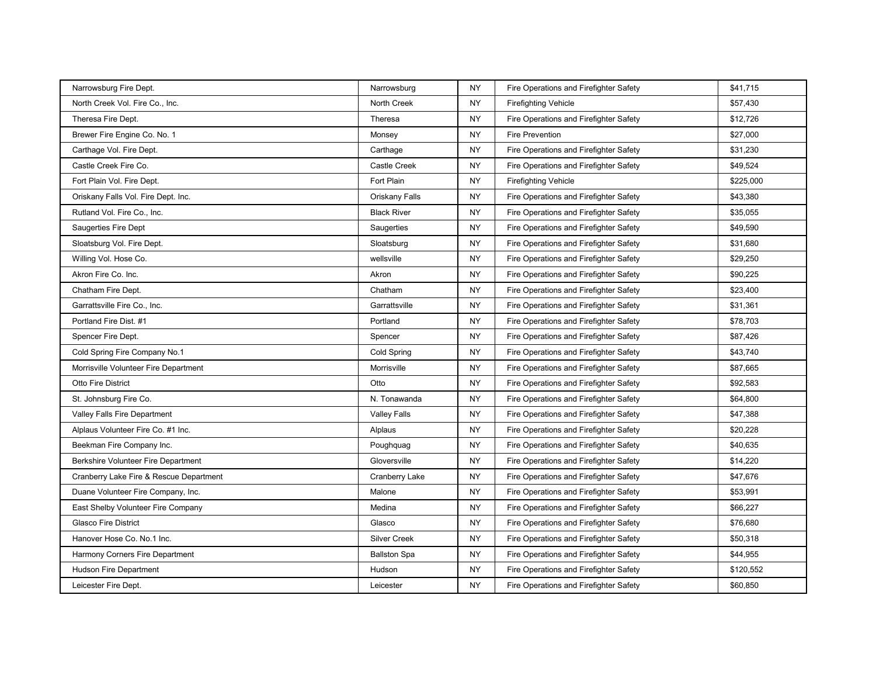| Narrowsburg Fire Dept.                  | Narrowsburg         | <b>NY</b> | Fire Operations and Firefighter Safety | \$41,715  |
|-----------------------------------------|---------------------|-----------|----------------------------------------|-----------|
| North Creek Vol. Fire Co., Inc.         | North Creek         | <b>NY</b> | <b>Firefighting Vehicle</b>            | \$57,430  |
| Theresa Fire Dept.                      | Theresa             | <b>NY</b> | Fire Operations and Firefighter Safety | \$12,726  |
| Brewer Fire Engine Co. No. 1            | Monsey              | <b>NY</b> | <b>Fire Prevention</b>                 | \$27,000  |
| Carthage Vol. Fire Dept.                | Carthage            | <b>NY</b> | Fire Operations and Firefighter Safety | \$31,230  |
| Castle Creek Fire Co.                   | Castle Creek        | <b>NY</b> | Fire Operations and Firefighter Safety | \$49,524  |
| Fort Plain Vol. Fire Dept.              | Fort Plain          | <b>NY</b> | <b>Firefighting Vehicle</b>            | \$225,000 |
| Oriskany Falls Vol. Fire Dept. Inc.     | Oriskany Falls      | <b>NY</b> | Fire Operations and Firefighter Safety | \$43,380  |
| Rutland Vol. Fire Co., Inc.             | <b>Black River</b>  | <b>NY</b> | Fire Operations and Firefighter Safety | \$35,055  |
| <b>Saugerties Fire Dept</b>             | Saugerties          | <b>NY</b> | Fire Operations and Firefighter Safety | \$49,590  |
| Sloatsburg Vol. Fire Dept.              | Sloatsburg          | <b>NY</b> | Fire Operations and Firefighter Safety | \$31,680  |
| Willing Vol. Hose Co.                   | wellsville          | <b>NY</b> | Fire Operations and Firefighter Safety | \$29,250  |
| Akron Fire Co. Inc.                     | Akron               | <b>NY</b> | Fire Operations and Firefighter Safety | \$90,225  |
| Chatham Fire Dept.                      | Chatham             | <b>NY</b> | Fire Operations and Firefighter Safety | \$23,400  |
| Garrattsville Fire Co., Inc.            | Garrattsville       | <b>NY</b> | Fire Operations and Firefighter Safety | \$31,361  |
| Portland Fire Dist. #1                  | Portland            | <b>NY</b> | Fire Operations and Firefighter Safety | \$78,703  |
| Spencer Fire Dept.                      | Spencer             | <b>NY</b> | Fire Operations and Firefighter Safety | \$87,426  |
| Cold Spring Fire Company No.1           | Cold Spring         | <b>NY</b> | Fire Operations and Firefighter Safety | \$43,740  |
| Morrisville Volunteer Fire Department   | <b>Morrisville</b>  | <b>NY</b> | Fire Operations and Firefighter Safety | \$87,665  |
| Otto Fire District                      | Otto                | <b>NY</b> | Fire Operations and Firefighter Safety | \$92,583  |
| St. Johnsburg Fire Co.                  | N. Tonawanda        | <b>NY</b> | Fire Operations and Firefighter Safety | \$64,800  |
| Valley Falls Fire Department            | <b>Valley Falls</b> | <b>NY</b> | Fire Operations and Firefighter Safety | \$47,388  |
| Alplaus Volunteer Fire Co. #1 Inc.      | Alplaus             | <b>NY</b> | Fire Operations and Firefighter Safety | \$20,228  |
| Beekman Fire Company Inc.               | Poughquag           | <b>NY</b> | Fire Operations and Firefighter Safety | \$40,635  |
| Berkshire Volunteer Fire Department     | Gloversville        | <b>NY</b> | Fire Operations and Firefighter Safety | \$14,220  |
| Cranberry Lake Fire & Rescue Department | Cranberry Lake      | <b>NY</b> | Fire Operations and Firefighter Safety | \$47,676  |
| Duane Volunteer Fire Company, Inc.      | Malone              | <b>NY</b> | Fire Operations and Firefighter Safety | \$53,991  |
| East Shelby Volunteer Fire Company      | Medina              | <b>NY</b> | Fire Operations and Firefighter Safety | \$66,227  |
| <b>Glasco Fire District</b>             | Glasco              | <b>NY</b> | Fire Operations and Firefighter Safety | \$76,680  |
| Hanover Hose Co. No.1 Inc.              | <b>Silver Creek</b> | <b>NY</b> | Fire Operations and Firefighter Safety | \$50,318  |
| Harmony Corners Fire Department         | <b>Ballston Spa</b> | <b>NY</b> | Fire Operations and Firefighter Safety | \$44,955  |
| Hudson Fire Department                  | Hudson              | <b>NY</b> | Fire Operations and Firefighter Safety | \$120,552 |
| Leicester Fire Dept.                    | Leicester           | NY.       | Fire Operations and Firefighter Safety | \$60,850  |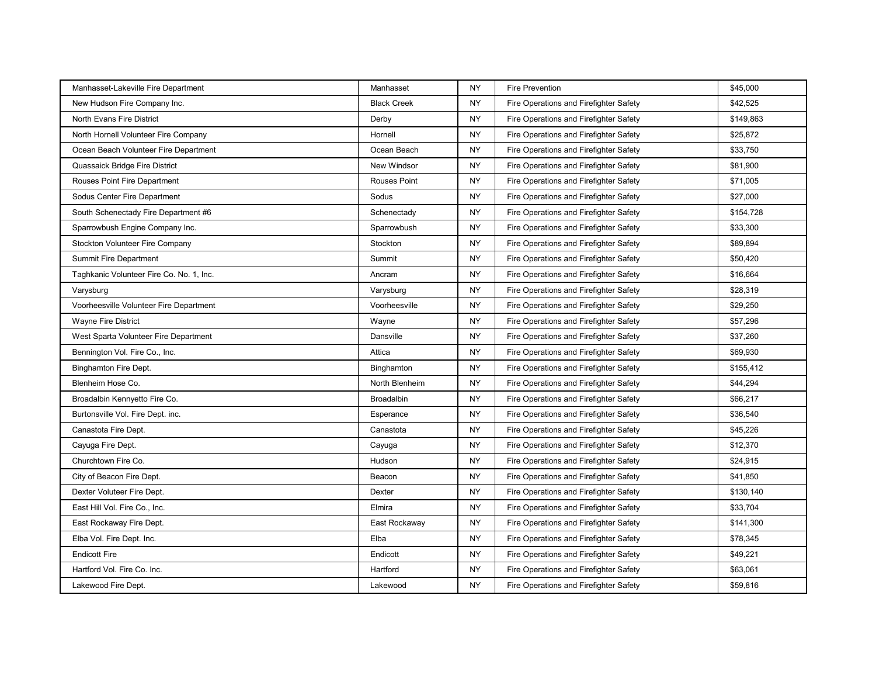| Manhasset-Lakeville Fire Department      | Manhasset           | <b>NY</b> | <b>Fire Prevention</b>                 | \$45,000  |
|------------------------------------------|---------------------|-----------|----------------------------------------|-----------|
| New Hudson Fire Company Inc.             | <b>Black Creek</b>  | <b>NY</b> | Fire Operations and Firefighter Safety | \$42,525  |
| <b>North Evans Fire District</b>         | Derby               | <b>NY</b> | Fire Operations and Firefighter Safety | \$149,863 |
| North Hornell Volunteer Fire Company     | Hornell             | <b>NY</b> | Fire Operations and Firefighter Safety | \$25,872  |
| Ocean Beach Volunteer Fire Department    | Ocean Beach         | <b>NY</b> | Fire Operations and Firefighter Safety | \$33,750  |
| Quassaick Bridge Fire District           | New Windsor         | <b>NY</b> | Fire Operations and Firefighter Safety | \$81,900  |
| Rouses Point Fire Department             | <b>Rouses Point</b> | <b>NY</b> | Fire Operations and Firefighter Safety | \$71,005  |
| Sodus Center Fire Department             | Sodus               | <b>NY</b> | Fire Operations and Firefighter Safety | \$27,000  |
| South Schenectady Fire Department #6     | Schenectady         | <b>NY</b> | Fire Operations and Firefighter Safety | \$154,728 |
| Sparrowbush Engine Company Inc.          | Sparrowbush         | <b>NY</b> | Fire Operations and Firefighter Safety | \$33,300  |
| Stockton Volunteer Fire Company          | Stockton            | <b>NY</b> | Fire Operations and Firefighter Safety | \$89,894  |
| <b>Summit Fire Department</b>            | Summit              | <b>NY</b> | Fire Operations and Firefighter Safety | \$50,420  |
| Taghkanic Volunteer Fire Co. No. 1, Inc. | Ancram              | <b>NY</b> | Fire Operations and Firefighter Safety | \$16,664  |
| Varysburg                                | Varysburg           | <b>NY</b> | Fire Operations and Firefighter Safety | \$28,319  |
| Voorheesville Volunteer Fire Department  | Voorheesville       | <b>NY</b> | Fire Operations and Firefighter Safety | \$29,250  |
| <b>Wayne Fire District</b>               | Wayne               | <b>NY</b> | Fire Operations and Firefighter Safety | \$57,296  |
| West Sparta Volunteer Fire Department    | Dansville           | <b>NY</b> | Fire Operations and Firefighter Safety | \$37,260  |
| Bennington Vol. Fire Co., Inc.           | Attica              | <b>NY</b> | Fire Operations and Firefighter Safety | \$69,930  |
| <b>Binghamton Fire Dept.</b>             | Binghamton          | <b>NY</b> | Fire Operations and Firefighter Safety | \$155,412 |
| Blenheim Hose Co.                        | North Blenheim      | <b>NY</b> | Fire Operations and Firefighter Safety | \$44,294  |
| Broadalbin Kennyetto Fire Co.            | <b>Broadalbin</b>   | <b>NY</b> | Fire Operations and Firefighter Safety | \$66,217  |
| Burtonsville Vol. Fire Dept. inc.        | Esperance           | <b>NY</b> | Fire Operations and Firefighter Safety | \$36,540  |
| Canastota Fire Dept.                     | Canastota           | <b>NY</b> | Fire Operations and Firefighter Safety | \$45,226  |
| Cayuga Fire Dept.                        | Cayuga              | <b>NY</b> | Fire Operations and Firefighter Safety | \$12,370  |
| Churchtown Fire Co.                      | Hudson              | <b>NY</b> | Fire Operations and Firefighter Safety | \$24,915  |
| City of Beacon Fire Dept.                | Beacon              | <b>NY</b> | Fire Operations and Firefighter Safety | \$41,850  |
| Dexter Voluteer Fire Dept.               | Dexter              | <b>NY</b> | Fire Operations and Firefighter Safety | \$130,140 |
| East Hill Vol. Fire Co., Inc.            | Elmira              | <b>NY</b> | Fire Operations and Firefighter Safety | \$33,704  |
| East Rockaway Fire Dept.                 | East Rockaway       | <b>NY</b> | Fire Operations and Firefighter Safety | \$141,300 |
| Elba Vol. Fire Dept. Inc.                | Elba                | <b>NY</b> | Fire Operations and Firefighter Safety | \$78,345  |
| <b>Endicott Fire</b>                     | Endicott            | <b>NY</b> | Fire Operations and Firefighter Safety | \$49,221  |
| Hartford Vol. Fire Co. Inc.              | Hartford            | <b>NY</b> | Fire Operations and Firefighter Safety | \$63,061  |
| Lakewood Fire Dept.                      | Lakewood            | <b>NY</b> | Fire Operations and Firefighter Safety | \$59,816  |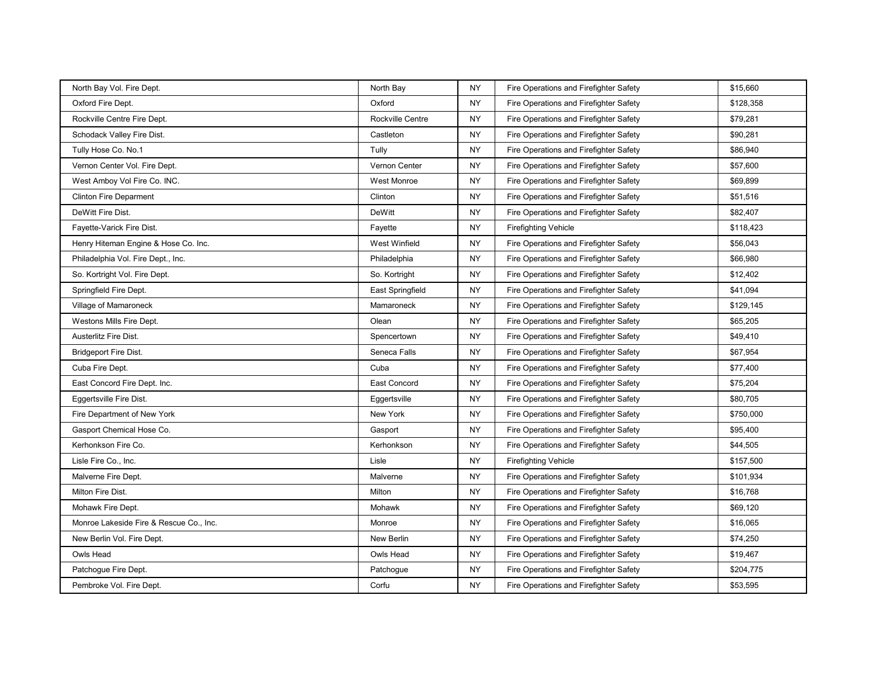| North Bay Vol. Fire Dept.               | North Bay        | <b>NY</b> | Fire Operations and Firefighter Safety | \$15,660  |
|-----------------------------------------|------------------|-----------|----------------------------------------|-----------|
| Oxford Fire Dept.                       | Oxford           | <b>NY</b> | Fire Operations and Firefighter Safety | \$128,358 |
| Rockville Centre Fire Dept.             | Rockville Centre | <b>NY</b> | Fire Operations and Firefighter Safety | \$79,281  |
| Schodack Valley Fire Dist.              | Castleton        | <b>NY</b> | Fire Operations and Firefighter Safety | \$90,281  |
| Tully Hose Co. No.1                     | Tully            | <b>NY</b> | Fire Operations and Firefighter Safety | \$86,940  |
| Vernon Center Vol. Fire Dept.           | Vernon Center    | <b>NY</b> | Fire Operations and Firefighter Safety | \$57,600  |
| West Amboy Vol Fire Co. INC.            | West Monroe      | <b>NY</b> | Fire Operations and Firefighter Safety | \$69,899  |
| <b>Clinton Fire Deparment</b>           | Clinton          | <b>NY</b> | Fire Operations and Firefighter Safety | \$51,516  |
| DeWitt Fire Dist.                       | <b>DeWitt</b>    | <b>NY</b> | Fire Operations and Firefighter Safety | \$82,407  |
| Fayette-Varick Fire Dist.               | Fayette          | <b>NY</b> | <b>Firefighting Vehicle</b>            | \$118,423 |
| Henry Hiteman Engine & Hose Co. Inc.    | West Winfield    | <b>NY</b> | Fire Operations and Firefighter Safety | \$56,043  |
| Philadelphia Vol. Fire Dept., Inc.      | Philadelphia     | <b>NY</b> | Fire Operations and Firefighter Safety | \$66,980  |
| So. Kortright Vol. Fire Dept.           | So. Kortright    | <b>NY</b> | Fire Operations and Firefighter Safety | \$12,402  |
| Springfield Fire Dept.                  | East Springfield | <b>NY</b> | Fire Operations and Firefighter Safety | \$41,094  |
| Village of Mamaroneck                   | Mamaroneck       | <b>NY</b> | Fire Operations and Firefighter Safety | \$129,145 |
| Westons Mills Fire Dept.                | Olean            | <b>NY</b> | Fire Operations and Firefighter Safety | \$65,205  |
| Austerlitz Fire Dist.                   | Spencertown      | <b>NY</b> | Fire Operations and Firefighter Safety | \$49,410  |
| Bridgeport Fire Dist.                   | Seneca Falls     | <b>NY</b> | Fire Operations and Firefighter Safety | \$67,954  |
| Cuba Fire Dept.                         | Cuba             | <b>NY</b> | Fire Operations and Firefighter Safety | \$77,400  |
| East Concord Fire Dept. Inc.            | East Concord     | <b>NY</b> | Fire Operations and Firefighter Safety | \$75,204  |
| Eggertsville Fire Dist.                 | Eggertsville     | <b>NY</b> | Fire Operations and Firefighter Safety | \$80,705  |
| Fire Department of New York             | New York         | <b>NY</b> | Fire Operations and Firefighter Safety | \$750,000 |
| Gasport Chemical Hose Co.               | Gasport          | <b>NY</b> | Fire Operations and Firefighter Safety | \$95,400  |
| Kerhonkson Fire Co.                     | Kerhonkson       | <b>NY</b> | Fire Operations and Firefighter Safety | \$44,505  |
| Lisle Fire Co., Inc.                    | Lisle            | <b>NY</b> | <b>Firefighting Vehicle</b>            | \$157,500 |
| Malverne Fire Dept.                     | Malverne         | <b>NY</b> | Fire Operations and Firefighter Safety | \$101,934 |
| Milton Fire Dist.                       | Milton           | <b>NY</b> | Fire Operations and Firefighter Safety | \$16,768  |
| Mohawk Fire Dept.                       | Mohawk           | <b>NY</b> | Fire Operations and Firefighter Safety | \$69,120  |
| Monroe Lakeside Fire & Rescue Co., Inc. | Monroe           | <b>NY</b> | Fire Operations and Firefighter Safety | \$16,065  |
| New Berlin Vol. Fire Dept.              | New Berlin       | <b>NY</b> | Fire Operations and Firefighter Safety | \$74,250  |
| Owls Head                               | Owls Head        | <b>NY</b> | Fire Operations and Firefighter Safety | \$19,467  |
| Patchogue Fire Dept.                    | Patchogue        | <b>NY</b> | Fire Operations and Firefighter Safety | \$204,775 |
| Pembroke Vol. Fire Dept.                | Corfu            | NY.       | Fire Operations and Firefighter Safety | \$53,595  |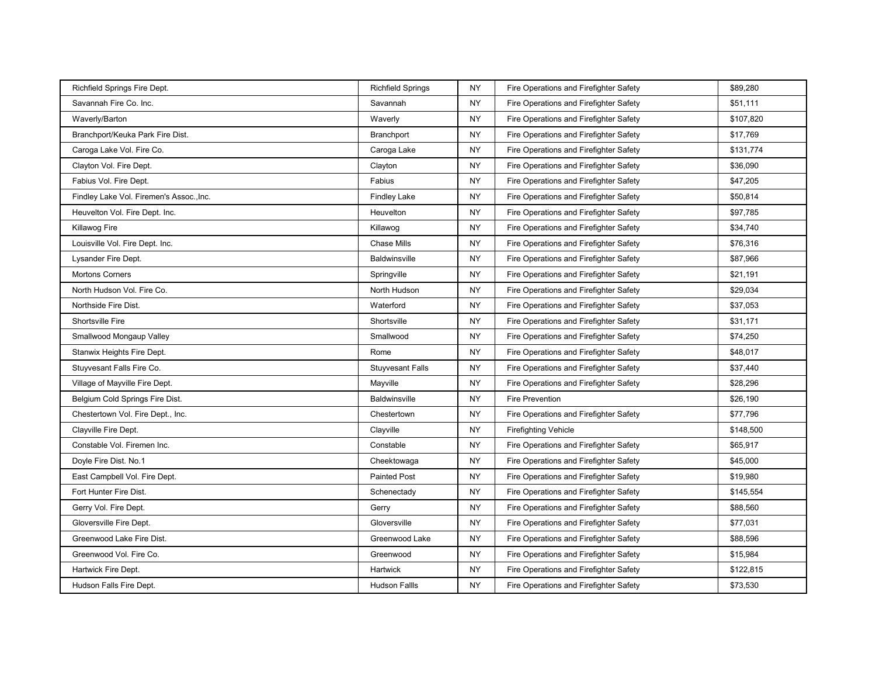| Richfield Springs Fire Dept.             | <b>Richfield Springs</b> | <b>NY</b> | Fire Operations and Firefighter Safety | \$89,280  |
|------------------------------------------|--------------------------|-----------|----------------------------------------|-----------|
| Savannah Fire Co. Inc.                   | Savannah                 | <b>NY</b> | Fire Operations and Firefighter Safety | \$51,111  |
| Waverly/Barton                           | Waverly                  | <b>NY</b> | Fire Operations and Firefighter Safety | \$107,820 |
| Branchport/Keuka Park Fire Dist.         | <b>Branchport</b>        | <b>NY</b> | Fire Operations and Firefighter Safety | \$17,769  |
| Caroga Lake Vol. Fire Co.                | Caroga Lake              | <b>NY</b> | Fire Operations and Firefighter Safety | \$131,774 |
| Clayton Vol. Fire Dept.                  | Clayton                  | <b>NY</b> | Fire Operations and Firefighter Safety | \$36,090  |
| Fabius Vol. Fire Dept.                   | Fabius                   | <b>NY</b> | Fire Operations and Firefighter Safety | \$47,205  |
| Findley Lake Vol. Firemen's Assoc., Inc. | <b>Findley Lake</b>      | <b>NY</b> | Fire Operations and Firefighter Safety | \$50,814  |
| Heuvelton Vol. Fire Dept. Inc.           | Heuvelton                | <b>NY</b> | Fire Operations and Firefighter Safety | \$97,785  |
| Killawog Fire                            | Killawog                 | <b>NY</b> | Fire Operations and Firefighter Safety | \$34,740  |
| Louisville Vol. Fire Dept. Inc.          | <b>Chase Mills</b>       | <b>NY</b> | Fire Operations and Firefighter Safety | \$76,316  |
| Lysander Fire Dept.                      | <b>Baldwinsville</b>     | NY        | Fire Operations and Firefighter Safety | \$87,966  |
| <b>Mortons Corners</b>                   | Springville              | <b>NY</b> | Fire Operations and Firefighter Safety | \$21,191  |
| North Hudson Vol. Fire Co.               | North Hudson             | <b>NY</b> | Fire Operations and Firefighter Safety | \$29,034  |
| Northside Fire Dist.                     | Waterford                | <b>NY</b> | Fire Operations and Firefighter Safety | \$37,053  |
| Shortsville Fire                         | Shortsville              | NY        | Fire Operations and Firefighter Safety | \$31,171  |
| Smallwood Mongaup Valley                 | Smallwood                | <b>NY</b> | Fire Operations and Firefighter Safety | \$74,250  |
| Stanwix Heights Fire Dept.               | Rome                     | NY        | Fire Operations and Firefighter Safety | \$48,017  |
| Stuyvesant Falls Fire Co.                | <b>Stuyvesant Falls</b>  | <b>NY</b> | Fire Operations and Firefighter Safety | \$37,440  |
| Village of Mayville Fire Dept.           | Mayville                 | <b>NY</b> | Fire Operations and Firefighter Safety | \$28,296  |
| Belgium Cold Springs Fire Dist.          | <b>Baldwinsville</b>     | <b>NY</b> | <b>Fire Prevention</b>                 | \$26,190  |
| Chestertown Vol. Fire Dept., Inc.        | Chestertown              | NY        | Fire Operations and Firefighter Safety | \$77,796  |
| Clayville Fire Dept.                     | Clayville                | <b>NY</b> | <b>Firefighting Vehicle</b>            | \$148,500 |
| Constable Vol. Firemen Inc.              | Constable                | <b>NY</b> | Fire Operations and Firefighter Safety | \$65,917  |
| Doyle Fire Dist. No.1                    | Cheektowaga              | <b>NY</b> | Fire Operations and Firefighter Safety | \$45,000  |
| East Campbell Vol. Fire Dept.            | <b>Painted Post</b>      | <b>NY</b> | Fire Operations and Firefighter Safety | \$19,980  |
| Fort Hunter Fire Dist.                   | Schenectady              | <b>NY</b> | Fire Operations and Firefighter Safety | \$145,554 |
| Gerry Vol. Fire Dept.                    | Gerry                    | <b>NY</b> | Fire Operations and Firefighter Safety | \$88,560  |
| Gloversville Fire Dept.                  | Gloversville             | <b>NY</b> | Fire Operations and Firefighter Safety | \$77,031  |
| Greenwood Lake Fire Dist.                | Greenwood Lake           | <b>NY</b> | Fire Operations and Firefighter Safety | \$88,596  |
| Greenwood Vol. Fire Co.                  | Greenwood                | <b>NY</b> | Fire Operations and Firefighter Safety | \$15,984  |
| Hartwick Fire Dept.                      | Hartwick                 | <b>NY</b> | Fire Operations and Firefighter Safety | \$122,815 |
| Hudson Falls Fire Dept.                  | <b>Hudson Fallls</b>     | NY        | Fire Operations and Firefighter Safety | \$73,530  |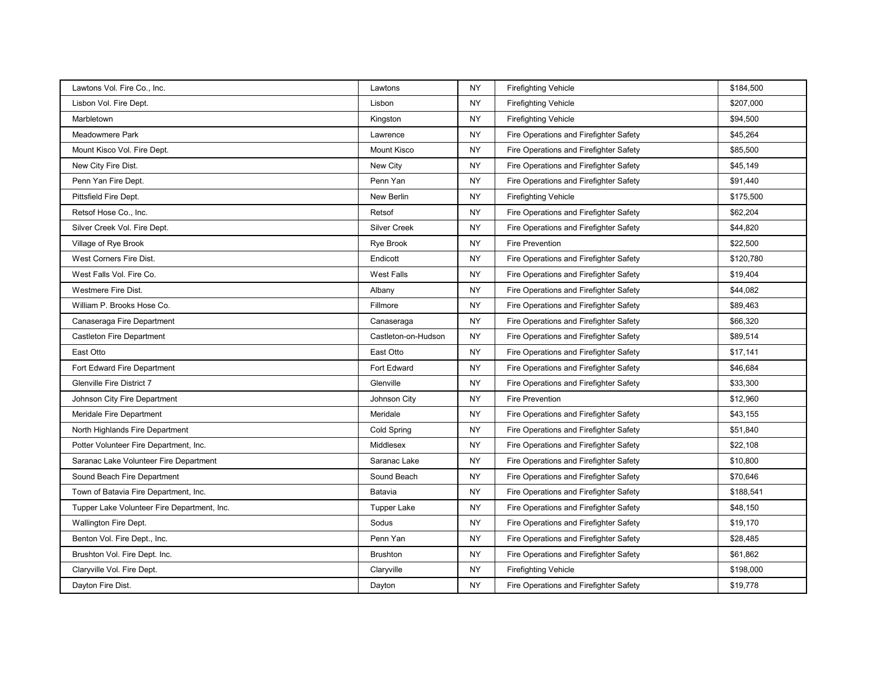| Lawtons Vol. Fire Co., Inc.                 | Lawtons             | <b>NY</b> | <b>Firefighting Vehicle</b>            | \$184,500 |
|---------------------------------------------|---------------------|-----------|----------------------------------------|-----------|
| Lisbon Vol. Fire Dept.                      | Lisbon              | <b>NY</b> | <b>Firefighting Vehicle</b>            | \$207,000 |
| Marbletown                                  | Kingston            | <b>NY</b> | <b>Firefighting Vehicle</b>            | \$94,500  |
| Meadowmere Park                             | Lawrence            | <b>NY</b> | Fire Operations and Firefighter Safety | \$45,264  |
| Mount Kisco Vol. Fire Dept.                 | <b>Mount Kisco</b>  | <b>NY</b> | Fire Operations and Firefighter Safety | \$85,500  |
| New City Fire Dist.                         | New City            | <b>NY</b> | Fire Operations and Firefighter Safety | \$45,149  |
| Penn Yan Fire Dept.                         | Penn Yan            | <b>NY</b> | Fire Operations and Firefighter Safety | \$91,440  |
| Pittsfield Fire Dept.                       | New Berlin          | <b>NY</b> | <b>Firefighting Vehicle</b>            | \$175,500 |
| Retsof Hose Co., Inc.                       | Retsof              | <b>NY</b> | Fire Operations and Firefighter Safety | \$62,204  |
| Silver Creek Vol. Fire Dept.                | <b>Silver Creek</b> | <b>NY</b> | Fire Operations and Firefighter Safety | \$44,820  |
| Village of Rye Brook                        | Rye Brook           | <b>NY</b> | <b>Fire Prevention</b>                 | \$22,500  |
| West Corners Fire Dist.                     | Endicott            | <b>NY</b> | Fire Operations and Firefighter Safety | \$120,780 |
| West Falls Vol. Fire Co.                    | <b>West Falls</b>   | <b>NY</b> | Fire Operations and Firefighter Safety | \$19,404  |
| Westmere Fire Dist.                         | Albany              | <b>NY</b> | Fire Operations and Firefighter Safety | \$44,082  |
| William P. Brooks Hose Co.                  | Fillmore            | <b>NY</b> | Fire Operations and Firefighter Safety | \$89,463  |
| Canaseraga Fire Department                  | Canaseraga          | <b>NY</b> | Fire Operations and Firefighter Safety | \$66,320  |
| Castleton Fire Department                   | Castleton-on-Hudson | <b>NY</b> | Fire Operations and Firefighter Safety | \$89,514  |
| East Otto                                   | East Otto           | <b>NY</b> | Fire Operations and Firefighter Safety | \$17,141  |
| Fort Edward Fire Department                 | Fort Edward         | <b>NY</b> | Fire Operations and Firefighter Safety | \$46,684  |
| <b>Glenville Fire District 7</b>            | Glenville           | <b>NY</b> | Fire Operations and Firefighter Safety | \$33,300  |
| Johnson City Fire Department                | Johnson City        | <b>NY</b> | <b>Fire Prevention</b>                 | \$12,960  |
| Meridale Fire Department                    | Meridale            | <b>NY</b> | Fire Operations and Firefighter Safety | \$43,155  |
| North Highlands Fire Department             | Cold Spring         | <b>NY</b> | Fire Operations and Firefighter Safety | \$51,840  |
| Potter Volunteer Fire Department, Inc.      | Middlesex           | <b>NY</b> | Fire Operations and Firefighter Safety | \$22,108  |
| Saranac Lake Volunteer Fire Department      | Saranac Lake        | <b>NY</b> | Fire Operations and Firefighter Safety | \$10,800  |
| Sound Beach Fire Department                 | Sound Beach         | <b>NY</b> | Fire Operations and Firefighter Safety | \$70,646  |
| Town of Batavia Fire Department, Inc.       | Batavia             | <b>NY</b> | Fire Operations and Firefighter Safety | \$188,541 |
| Tupper Lake Volunteer Fire Department, Inc. | Tupper Lake         | NY        | Fire Operations and Firefighter Safety | \$48,150  |
| Wallington Fire Dept.                       | Sodus               | <b>NY</b> | Fire Operations and Firefighter Safety | \$19,170  |
| Benton Vol. Fire Dept., Inc.                | Penn Yan            | <b>NY</b> | Fire Operations and Firefighter Safety | \$28,485  |
| Brushton Vol. Fire Dept. Inc.               | <b>Brushton</b>     | <b>NY</b> | Fire Operations and Firefighter Safety | \$61,862  |
| Claryville Vol. Fire Dept.                  | Claryville          | <b>NY</b> | <b>Firefighting Vehicle</b>            | \$198,000 |
| Dayton Fire Dist.                           | Dayton              | <b>NY</b> | Fire Operations and Firefighter Safety | \$19,778  |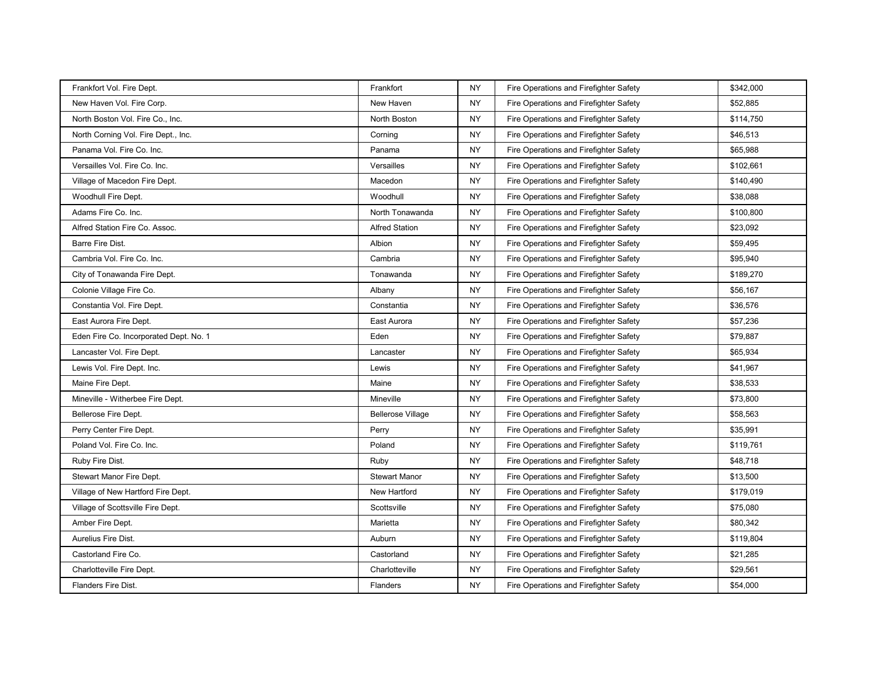| Frankfort Vol. Fire Dept.              | Frankfort                | <b>NY</b> | Fire Operations and Firefighter Safety | \$342,000 |
|----------------------------------------|--------------------------|-----------|----------------------------------------|-----------|
| New Haven Vol. Fire Corp.              | New Haven                | <b>NY</b> | Fire Operations and Firefighter Safety | \$52,885  |
| North Boston Vol. Fire Co., Inc.       | North Boston             | <b>NY</b> | Fire Operations and Firefighter Safety | \$114,750 |
| North Corning Vol. Fire Dept., Inc.    | Corning                  | <b>NY</b> | Fire Operations and Firefighter Safety | \$46,513  |
| Panama Vol. Fire Co. Inc.              | Panama                   | <b>NY</b> | Fire Operations and Firefighter Safety | \$65,988  |
| Versailles Vol. Fire Co. Inc.          | Versailles               | <b>NY</b> | Fire Operations and Firefighter Safety | \$102,661 |
| Village of Macedon Fire Dept.          | Macedon                  | <b>NY</b> | Fire Operations and Firefighter Safety | \$140,490 |
| Woodhull Fire Dept.                    | Woodhull                 | <b>NY</b> | Fire Operations and Firefighter Safety | \$38,088  |
| Adams Fire Co. Inc.                    | North Tonawanda          | <b>NY</b> | Fire Operations and Firefighter Safety | \$100,800 |
| Alfred Station Fire Co. Assoc.         | <b>Alfred Station</b>    | <b>NY</b> | Fire Operations and Firefighter Safety | \$23,092  |
| Barre Fire Dist.                       | Albion                   | <b>NY</b> | Fire Operations and Firefighter Safety | \$59,495  |
| Cambria Vol. Fire Co. Inc.             | Cambria                  | <b>NY</b> | Fire Operations and Firefighter Safety | \$95,940  |
| City of Tonawanda Fire Dept.           | Tonawanda                | <b>NY</b> | Fire Operations and Firefighter Safety | \$189,270 |
| Colonie Village Fire Co.               | Albany                   | <b>NY</b> | Fire Operations and Firefighter Safety | \$56,167  |
| Constantia Vol. Fire Dept.             | Constantia               | <b>NY</b> | Fire Operations and Firefighter Safety | \$36,576  |
| East Aurora Fire Dept.                 | East Aurora              | <b>NY</b> | Fire Operations and Firefighter Safety | \$57,236  |
| Eden Fire Co. Incorporated Dept. No. 1 | Eden                     | <b>NY</b> | Fire Operations and Firefighter Safety | \$79,887  |
| Lancaster Vol. Fire Dept.              | Lancaster                | <b>NY</b> | Fire Operations and Firefighter Safety | \$65,934  |
| Lewis Vol. Fire Dept. Inc.             | Lewis                    | <b>NY</b> | Fire Operations and Firefighter Safety | \$41,967  |
| Maine Fire Dept.                       | Maine                    | <b>NY</b> | Fire Operations and Firefighter Safety | \$38,533  |
| Mineville - Witherbee Fire Dept.       | Mineville                | <b>NY</b> | Fire Operations and Firefighter Safety | \$73,800  |
| Bellerose Fire Dept.                   | <b>Bellerose Village</b> | <b>NY</b> | Fire Operations and Firefighter Safety | \$58,563  |
| Perry Center Fire Dept.                | Perry                    | <b>NY</b> | Fire Operations and Firefighter Safety | \$35,991  |
| Poland Vol. Fire Co. Inc.              | Poland                   | <b>NY</b> | Fire Operations and Firefighter Safety | \$119,761 |
| Ruby Fire Dist.                        | Ruby                     | <b>NY</b> | Fire Operations and Firefighter Safety | \$48,718  |
| Stewart Manor Fire Dept.               | <b>Stewart Manor</b>     | <b>NY</b> | Fire Operations and Firefighter Safety | \$13,500  |
| Village of New Hartford Fire Dept.     | New Hartford             | <b>NY</b> | Fire Operations and Firefighter Safety | \$179,019 |
| Village of Scottsville Fire Dept.      | Scottsville              | <b>NY</b> | Fire Operations and Firefighter Safety | \$75,080  |
| Amber Fire Dept.                       | Marietta                 | <b>NY</b> | Fire Operations and Firefighter Safety | \$80,342  |
| Aurelius Fire Dist.                    | Auburn                   | <b>NY</b> | Fire Operations and Firefighter Safety | \$119,804 |
| Castorland Fire Co.                    | Castorland               | <b>NY</b> | Fire Operations and Firefighter Safety | \$21,285  |
| Charlotteville Fire Dept.              | Charlotteville           | <b>NY</b> | Fire Operations and Firefighter Safety | \$29,561  |
| Flanders Fire Dist.                    | <b>Flanders</b>          | NY.       | Fire Operations and Firefighter Safety | \$54,000  |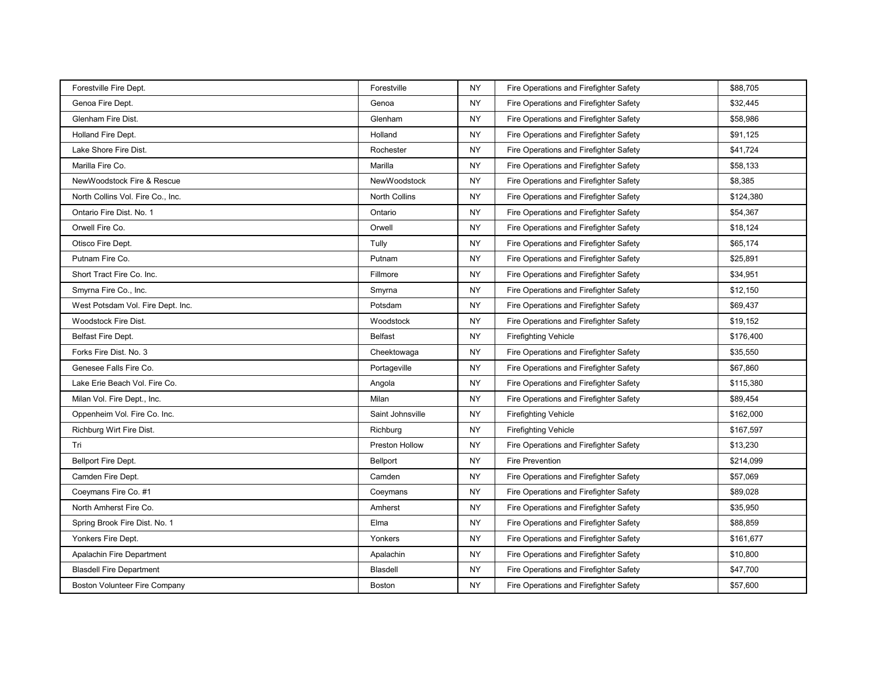| Forestville Fire Dept.            | Forestville      | <b>NY</b> | Fire Operations and Firefighter Safety | \$88,705  |
|-----------------------------------|------------------|-----------|----------------------------------------|-----------|
| Genoa Fire Dept.                  | Genoa            | <b>NY</b> | Fire Operations and Firefighter Safety | \$32,445  |
| <b>Glenham Fire Dist.</b>         | Glenham          | <b>NY</b> | Fire Operations and Firefighter Safety | \$58,986  |
| Holland Fire Dept.                | Holland          | <b>NY</b> | Fire Operations and Firefighter Safety | \$91,125  |
| Lake Shore Fire Dist.             | Rochester        | <b>NY</b> | Fire Operations and Firefighter Safety | \$41,724  |
| Marilla Fire Co.                  | Marilla          | NY        | Fire Operations and Firefighter Safety | \$58,133  |
| NewWoodstock Fire & Rescue        | NewWoodstock     | <b>NY</b> | Fire Operations and Firefighter Safety | \$8,385   |
| North Collins Vol. Fire Co., Inc. | North Collins    | NY        | Fire Operations and Firefighter Safety | \$124,380 |
| Ontario Fire Dist. No. 1          | Ontario          | <b>NY</b> | Fire Operations and Firefighter Safety | \$54,367  |
| Orwell Fire Co.                   | Orwell           | NY        | Fire Operations and Firefighter Safety | \$18,124  |
| Otisco Fire Dept.                 | Tully            | NY        | Fire Operations and Firefighter Safety | \$65,174  |
| Putnam Fire Co.                   | Putnam           | <b>NY</b> | Fire Operations and Firefighter Safety | \$25,891  |
| Short Tract Fire Co. Inc.         | Fillmore         | NY        | Fire Operations and Firefighter Safety | \$34,951  |
| Smyrna Fire Co., Inc.             | Smyrna           | <b>NY</b> | Fire Operations and Firefighter Safety | \$12,150  |
| West Potsdam Vol. Fire Dept. Inc. | Potsdam          | <b>NY</b> | Fire Operations and Firefighter Safety | \$69,437  |
| Woodstock Fire Dist.              | Woodstock        | <b>NY</b> | Fire Operations and Firefighter Safety | \$19,152  |
| Belfast Fire Dept.                | <b>Belfast</b>   | <b>NY</b> | <b>Firefighting Vehicle</b>            | \$176,400 |
| Forks Fire Dist. No. 3            | Cheektowaga      | <b>NY</b> | Fire Operations and Firefighter Safety | \$35,550  |
| Genesee Falls Fire Co.            | Portageville     | <b>NY</b> | Fire Operations and Firefighter Safety | \$67,860  |
| Lake Erie Beach Vol. Fire Co.     | Angola           | <b>NY</b> | Fire Operations and Firefighter Safety | \$115,380 |
| Milan Vol. Fire Dept., Inc.       | Milan            | <b>NY</b> | Fire Operations and Firefighter Safety | \$89,454  |
| Oppenheim Vol. Fire Co. Inc.      | Saint Johnsville | <b>NY</b> | <b>Firefighting Vehicle</b>            | \$162,000 |
| Richburg Wirt Fire Dist.          | Richburg         | <b>NY</b> | <b>Firefighting Vehicle</b>            | \$167,597 |
| Tri                               | Preston Hollow   | <b>NY</b> | Fire Operations and Firefighter Safety | \$13,230  |
| Bellport Fire Dept.               | Bellport         | <b>NY</b> | <b>Fire Prevention</b>                 | \$214,099 |
| Camden Fire Dept.                 | Camden           | <b>NY</b> | Fire Operations and Firefighter Safety | \$57,069  |
| Coeymans Fire Co. #1              | Coeymans         | <b>NY</b> | Fire Operations and Firefighter Safety | \$89,028  |
| North Amherst Fire Co.            | Amherst          | <b>NY</b> | Fire Operations and Firefighter Safety | \$35,950  |
| Spring Brook Fire Dist. No. 1     | Elma             | <b>NY</b> | Fire Operations and Firefighter Safety | \$88,859  |
| Yonkers Fire Dept.                | Yonkers          | <b>NY</b> | Fire Operations and Firefighter Safety | \$161,677 |
| Apalachin Fire Department         | Apalachin        | <b>NY</b> | Fire Operations and Firefighter Safety | \$10,800  |
| <b>Blasdell Fire Department</b>   | <b>Blasdell</b>  | <b>NY</b> | Fire Operations and Firefighter Safety | \$47,700  |
| Boston Volunteer Fire Company     | Boston           | NY.       | Fire Operations and Firefighter Safety | \$57,600  |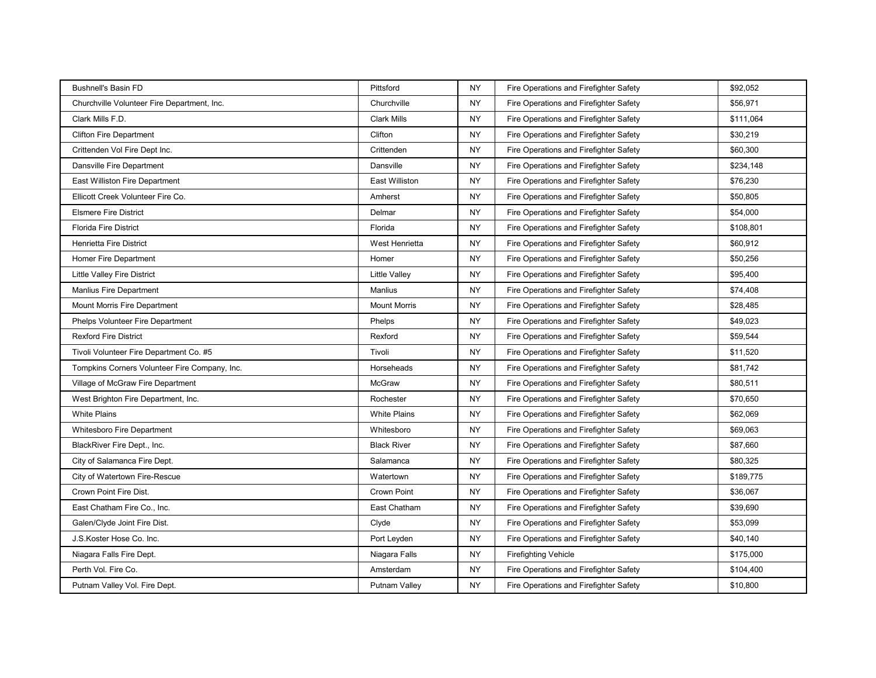| <b>Bushnell's Basin FD</b>                    | Pittsford           | <b>NY</b> | Fire Operations and Firefighter Safety | \$92,052  |
|-----------------------------------------------|---------------------|-----------|----------------------------------------|-----------|
| Churchville Volunteer Fire Department, Inc.   | Churchville         | <b>NY</b> | Fire Operations and Firefighter Safety | \$56,971  |
| Clark Mills F.D.                              | <b>Clark Mills</b>  | <b>NY</b> | Fire Operations and Firefighter Safety | \$111,064 |
| <b>Clifton Fire Department</b>                | Clifton             | <b>NY</b> | Fire Operations and Firefighter Safety | \$30,219  |
| Crittenden Vol Fire Dept Inc.                 | Crittenden          | <b>NY</b> | Fire Operations and Firefighter Safety | \$60,300  |
| Dansville Fire Department                     | Dansville           | <b>NY</b> | Fire Operations and Firefighter Safety | \$234,148 |
| East Williston Fire Department                | East Williston      | <b>NY</b> | Fire Operations and Firefighter Safety | \$76,230  |
| Ellicott Creek Volunteer Fire Co.             | Amherst             | <b>NY</b> | Fire Operations and Firefighter Safety | \$50,805  |
| <b>Elsmere Fire District</b>                  | Delmar              | <b>NY</b> | Fire Operations and Firefighter Safety | \$54,000  |
| <b>Florida Fire District</b>                  | Florida             | <b>NY</b> | Fire Operations and Firefighter Safety | \$108,801 |
| <b>Henrietta Fire District</b>                | West Henrietta      | <b>NY</b> | Fire Operations and Firefighter Safety | \$60,912  |
| Homer Fire Department                         | Homer               | <b>NY</b> | Fire Operations and Firefighter Safety | \$50,256  |
| <b>Little Valley Fire District</b>            | Little Valley       | <b>NY</b> | Fire Operations and Firefighter Safety | \$95,400  |
| <b>Manlius Fire Department</b>                | <b>Manlius</b>      | <b>NY</b> | Fire Operations and Firefighter Safety | \$74,408  |
| Mount Morris Fire Department                  | <b>Mount Morris</b> | <b>NY</b> | Fire Operations and Firefighter Safety | \$28,485  |
| Phelps Volunteer Fire Department              | Phelps              | <b>NY</b> | Fire Operations and Firefighter Safety | \$49,023  |
| <b>Rexford Fire District</b>                  | Rexford             | <b>NY</b> | Fire Operations and Firefighter Safety | \$59.544  |
| Tivoli Volunteer Fire Department Co. #5       | Tivoli              | <b>NY</b> | Fire Operations and Firefighter Safety | \$11,520  |
| Tompkins Corners Volunteer Fire Company, Inc. | Horseheads          | <b>NY</b> | Fire Operations and Firefighter Safety | \$81,742  |
| Village of McGraw Fire Department             | <b>McGraw</b>       | <b>NY</b> | Fire Operations and Firefighter Safety | \$80,511  |
| West Brighton Fire Department, Inc.           | Rochester           | <b>NY</b> | Fire Operations and Firefighter Safety | \$70,650  |
| <b>White Plains</b>                           | <b>White Plains</b> | <b>NY</b> | Fire Operations and Firefighter Safety | \$62,069  |
| <b>Whitesboro Fire Department</b>             | Whitesboro          | <b>NY</b> | Fire Operations and Firefighter Safety | \$69,063  |
| BlackRiver Fire Dept., Inc.                   | <b>Black River</b>  | <b>NY</b> | Fire Operations and Firefighter Safety | \$87,660  |
| City of Salamanca Fire Dept.                  | Salamanca           | <b>NY</b> | Fire Operations and Firefighter Safety | \$80,325  |
| City of Watertown Fire-Rescue                 | Watertown           | <b>NY</b> | Fire Operations and Firefighter Safety | \$189,775 |
| Crown Point Fire Dist.                        | Crown Point         | <b>NY</b> | Fire Operations and Firefighter Safety | \$36,067  |
| East Chatham Fire Co., Inc.                   | East Chatham        | <b>NY</b> | Fire Operations and Firefighter Safety | \$39,690  |
| Galen/Clyde Joint Fire Dist.                  | Clyde               | <b>NY</b> | Fire Operations and Firefighter Safety | \$53,099  |
| J.S.Koster Hose Co. Inc.                      | Port Leyden         | <b>NY</b> | Fire Operations and Firefighter Safety | \$40,140  |
| Niagara Falls Fire Dept.                      | Niagara Falls       | <b>NY</b> | <b>Firefighting Vehicle</b>            | \$175,000 |
| Perth Vol. Fire Co.                           | Amsterdam           | <b>NY</b> | Fire Operations and Firefighter Safety | \$104,400 |
| Putnam Valley Vol. Fire Dept.                 | Putnam Valley       | NY.       | Fire Operations and Firefighter Safety | \$10,800  |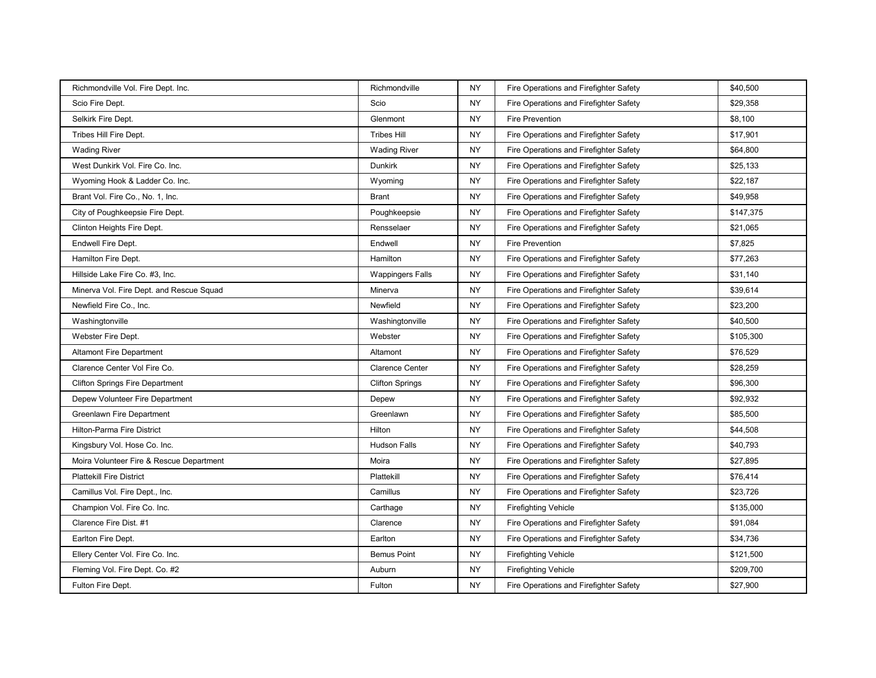| Richmondville Vol. Fire Dept. Inc.       | Richmondville           | <b>NY</b> | Fire Operations and Firefighter Safety | \$40,500  |
|------------------------------------------|-------------------------|-----------|----------------------------------------|-----------|
| Scio Fire Dept.                          | Scio                    | <b>NY</b> | Fire Operations and Firefighter Safety | \$29,358  |
| Selkirk Fire Dept.                       | Glenmont                | <b>NY</b> | <b>Fire Prevention</b>                 | \$8,100   |
| Tribes Hill Fire Dept.                   | <b>Tribes Hill</b>      | <b>NY</b> | Fire Operations and Firefighter Safety | \$17,901  |
| <b>Wading River</b>                      | <b>Wading River</b>     | <b>NY</b> | Fire Operations and Firefighter Safety | \$64,800  |
| West Dunkirk Vol. Fire Co. Inc.          | <b>Dunkirk</b>          | <b>NY</b> | Fire Operations and Firefighter Safety | \$25,133  |
| Wyoming Hook & Ladder Co. Inc.           | Wyoming                 | <b>NY</b> | Fire Operations and Firefighter Safety | \$22,187  |
| Brant Vol. Fire Co., No. 1, Inc.         | <b>Brant</b>            | <b>NY</b> | Fire Operations and Firefighter Safety | \$49,958  |
| City of Poughkeepsie Fire Dept.          | Poughkeepsie            | <b>NY</b> | Fire Operations and Firefighter Safety | \$147,375 |
| Clinton Heights Fire Dept.               | Rensselaer              | <b>NY</b> | Fire Operations and Firefighter Safety | \$21,065  |
| Endwell Fire Dept.                       | Endwell                 | <b>NY</b> | <b>Fire Prevention</b>                 | \$7,825   |
| Hamilton Fire Dept.                      | Hamilton                | <b>NY</b> | Fire Operations and Firefighter Safety | \$77,263  |
| Hillside Lake Fire Co. #3, Inc.          | <b>Wappingers Falls</b> | <b>NY</b> | Fire Operations and Firefighter Safety | \$31,140  |
| Minerva Vol. Fire Dept. and Rescue Squad | Minerva                 | <b>NY</b> | Fire Operations and Firefighter Safety | \$39,614  |
| Newfield Fire Co., Inc.                  | Newfield                | <b>NY</b> | Fire Operations and Firefighter Safety | \$23,200  |
| Washingtonville                          | Washingtonville         | <b>NY</b> | Fire Operations and Firefighter Safety | \$40,500  |
| Webster Fire Dept.                       | Webster                 | <b>NY</b> | Fire Operations and Firefighter Safety | \$105,300 |
| <b>Altamont Fire Department</b>          | Altamont                | <b>NY</b> | Fire Operations and Firefighter Safety | \$76,529  |
| Clarence Center Vol Fire Co.             | <b>Clarence Center</b>  | <b>NY</b> | Fire Operations and Firefighter Safety | \$28,259  |
| <b>Clifton Springs Fire Department</b>   | <b>Clifton Springs</b>  | <b>NY</b> | Fire Operations and Firefighter Safety | \$96,300  |
| Depew Volunteer Fire Department          | Depew                   | <b>NY</b> | Fire Operations and Firefighter Safety | \$92,932  |
| Greenlawn Fire Department                | Greenlawn               | <b>NY</b> | Fire Operations and Firefighter Safety | \$85,500  |
| Hilton-Parma Fire District               | Hilton                  | <b>NY</b> | Fire Operations and Firefighter Safety | \$44,508  |
| Kingsbury Vol. Hose Co. Inc.             | <b>Hudson Falls</b>     | <b>NY</b> | Fire Operations and Firefighter Safety | \$40,793  |
| Moira Volunteer Fire & Rescue Department | Moira                   | <b>NY</b> | Fire Operations and Firefighter Safety | \$27,895  |
| <b>Plattekill Fire District</b>          | Plattekill              | <b>NY</b> | Fire Operations and Firefighter Safety | \$76,414  |
| Camillus Vol. Fire Dept., Inc.           | Camillus                | <b>NY</b> | Fire Operations and Firefighter Safety | \$23,726  |
| Champion Vol. Fire Co. Inc.              | Carthage                | <b>NY</b> | <b>Firefighting Vehicle</b>            | \$135,000 |
| Clarence Fire Dist. #1                   | Clarence                | <b>NY</b> | Fire Operations and Firefighter Safety | \$91,084  |
| Earlton Fire Dept.                       | Earlton                 | <b>NY</b> | Fire Operations and Firefighter Safety | \$34,736  |
| Ellery Center Vol. Fire Co. Inc.         | <b>Bemus Point</b>      | <b>NY</b> | <b>Firefighting Vehicle</b>            | \$121,500 |
| Fleming Vol. Fire Dept. Co. #2           | Auburn                  | <b>NY</b> | <b>Firefighting Vehicle</b>            | \$209,700 |
| Fulton Fire Dept.                        | Fulton                  | NY.       | Fire Operations and Firefighter Safety | \$27,900  |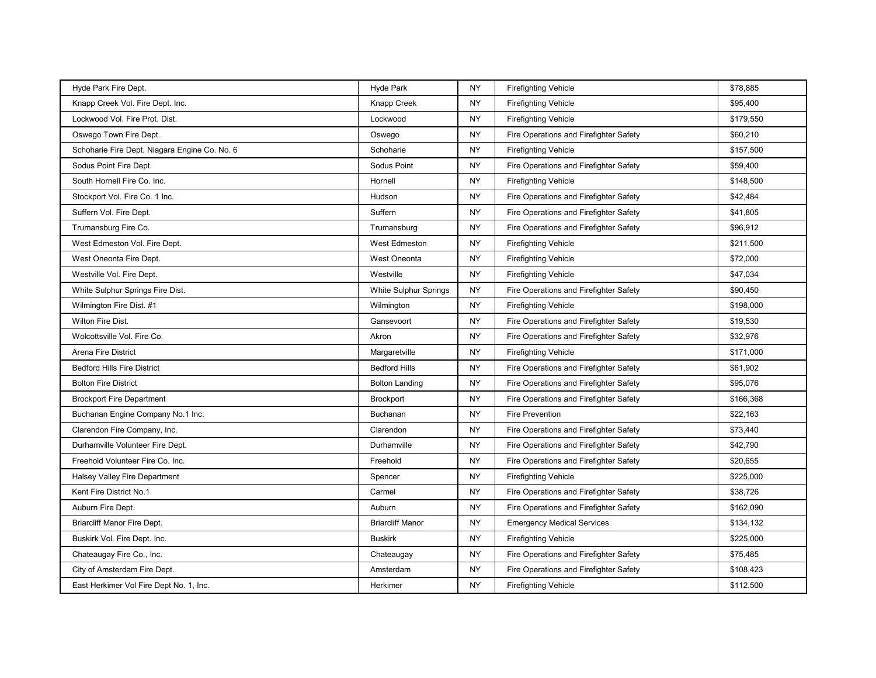| Hyde Park Fire Dept.                          | <b>Hyde Park</b>        | <b>NY</b> | <b>Firefighting Vehicle</b>            | \$78,885  |
|-----------------------------------------------|-------------------------|-----------|----------------------------------------|-----------|
| Knapp Creek Vol. Fire Dept. Inc.              | Knapp Creek             | <b>NY</b> | <b>Firefighting Vehicle</b>            | \$95,400  |
| Lockwood Vol. Fire Prot. Dist.                | Lockwood                | <b>NY</b> | <b>Firefighting Vehicle</b>            | \$179,550 |
| Oswego Town Fire Dept.                        | Oswego                  | <b>NY</b> | Fire Operations and Firefighter Safety | \$60,210  |
| Schoharie Fire Dept. Niagara Engine Co. No. 6 | Schoharie               | <b>NY</b> | <b>Firefighting Vehicle</b>            | \$157,500 |
| Sodus Point Fire Dept.                        | Sodus Point             | <b>NY</b> | Fire Operations and Firefighter Safety | \$59,400  |
| South Hornell Fire Co. Inc.                   | Hornell                 | <b>NY</b> | <b>Firefighting Vehicle</b>            | \$148,500 |
| Stockport Vol. Fire Co. 1 Inc.                | Hudson                  | <b>NY</b> | Fire Operations and Firefighter Safety | \$42,484  |
| Suffern Vol. Fire Dept.                       | Suffern                 | <b>NY</b> | Fire Operations and Firefighter Safety | \$41,805  |
| Trumansburg Fire Co.                          | Trumansburg             | <b>NY</b> | Fire Operations and Firefighter Safety | \$96,912  |
| West Edmeston Vol. Fire Dept.                 | <b>West Edmeston</b>    | <b>NY</b> | <b>Firefighting Vehicle</b>            | \$211,500 |
| West Oneonta Fire Dept.                       | West Oneonta            | <b>NY</b> | <b>Firefighting Vehicle</b>            | \$72,000  |
| Westville Vol. Fire Dept.                     | Westville               | <b>NY</b> | <b>Firefighting Vehicle</b>            | \$47,034  |
| White Sulphur Springs Fire Dist.              | White Sulphur Springs   | <b>NY</b> | Fire Operations and Firefighter Safety | \$90,450  |
| Wilmington Fire Dist. #1                      | Wilmington              | <b>NY</b> | <b>Firefighting Vehicle</b>            | \$198,000 |
| Wilton Fire Dist.                             | Gansevoort              | <b>NY</b> | Fire Operations and Firefighter Safety | \$19,530  |
| Wolcottsville Vol. Fire Co.                   | Akron                   | <b>NY</b> | Fire Operations and Firefighter Safety | \$32,976  |
| Arena Fire District                           | Margaretville           | <b>NY</b> | <b>Firefighting Vehicle</b>            | \$171,000 |
| <b>Bedford Hills Fire District</b>            | <b>Bedford Hills</b>    | <b>NY</b> | Fire Operations and Firefighter Safety | \$61,902  |
| <b>Bolton Fire District</b>                   | <b>Bolton Landing</b>   | <b>NY</b> | Fire Operations and Firefighter Safety | \$95,076  |
| <b>Brockport Fire Department</b>              | <b>Brockport</b>        | <b>NY</b> | Fire Operations and Firefighter Safety | \$166,368 |
| Buchanan Engine Company No.1 Inc.             | Buchanan                | <b>NY</b> | <b>Fire Prevention</b>                 | \$22,163  |
| Clarendon Fire Company, Inc.                  | Clarendon               | <b>NY</b> | Fire Operations and Firefighter Safety | \$73,440  |
| Durhamville Volunteer Fire Dept.              | Durhamville             | <b>NY</b> | Fire Operations and Firefighter Safety | \$42,790  |
| Freehold Volunteer Fire Co. Inc.              | Freehold                | <b>NY</b> | Fire Operations and Firefighter Safety | \$20,655  |
| Halsey Valley Fire Department                 | Spencer                 | <b>NY</b> | <b>Firefighting Vehicle</b>            | \$225,000 |
| Kent Fire District No.1                       | Carmel                  | <b>NY</b> | Fire Operations and Firefighter Safety | \$38,726  |
| Auburn Fire Dept.                             | Auburn                  | <b>NY</b> | Fire Operations and Firefighter Safety | \$162,090 |
| <b>Briarcliff Manor Fire Dept.</b>            | <b>Briarcliff Manor</b> | <b>NY</b> | <b>Emergency Medical Services</b>      | \$134,132 |
| Buskirk Vol. Fire Dept. Inc.                  | <b>Buskirk</b>          | <b>NY</b> | <b>Firefighting Vehicle</b>            | \$225,000 |
| Chateaugay Fire Co., Inc.                     | Chateaugay              | <b>NY</b> | Fire Operations and Firefighter Safety | \$75,485  |
| City of Amsterdam Fire Dept.                  | Amsterdam               | <b>NY</b> | Fire Operations and Firefighter Safety | \$108,423 |
| East Herkimer Vol Fire Dept No. 1, Inc.       | Herkimer                | <b>NY</b> | <b>Firefighting Vehicle</b>            | \$112,500 |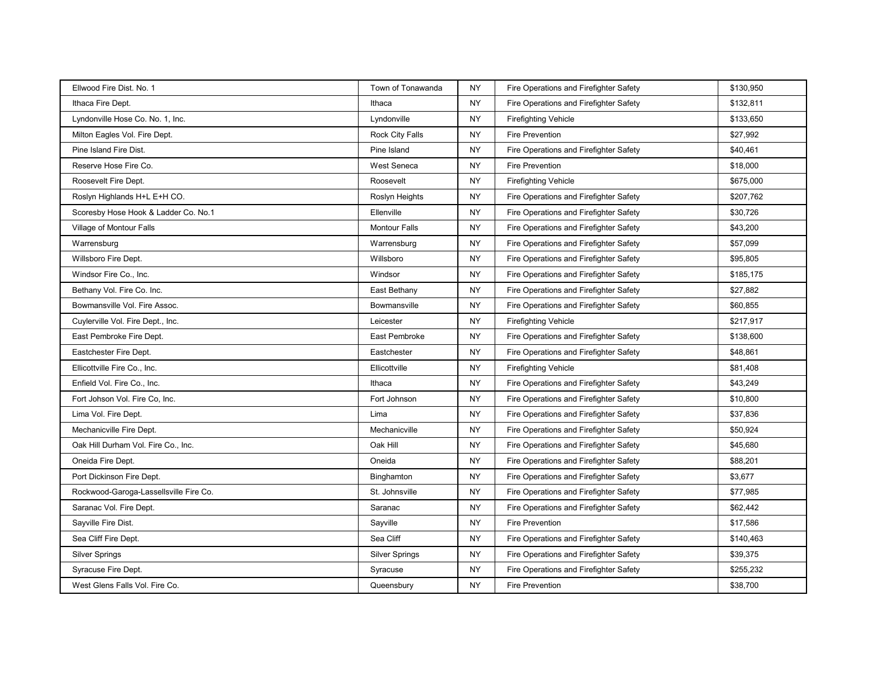| Ellwood Fire Dist. No. 1               | Town of Tonawanda     | <b>NY</b> | Fire Operations and Firefighter Safety | \$130,950 |
|----------------------------------------|-----------------------|-----------|----------------------------------------|-----------|
| Ithaca Fire Dept.                      | Ithaca                | <b>NY</b> | Fire Operations and Firefighter Safety | \$132,811 |
| Lyndonville Hose Co. No. 1, Inc.       | Lyndonville           | <b>NY</b> | <b>Firefighting Vehicle</b>            | \$133,650 |
| Milton Eagles Vol. Fire Dept.          | Rock City Falls       | <b>NY</b> | <b>Fire Prevention</b>                 | \$27,992  |
| Pine Island Fire Dist.                 | Pine Island           | <b>NY</b> | Fire Operations and Firefighter Safety | \$40,461  |
| Reserve Hose Fire Co.                  | West Seneca           | <b>NY</b> | <b>Fire Prevention</b>                 | \$18,000  |
| Roosevelt Fire Dept.                   | Roosevelt             | <b>NY</b> | <b>Firefighting Vehicle</b>            | \$675,000 |
| Roslyn Highlands H+L E+H CO.           | Roslyn Heights        | <b>NY</b> | Fire Operations and Firefighter Safety | \$207,762 |
| Scoresby Hose Hook & Ladder Co. No.1   | Ellenville            | <b>NY</b> | Fire Operations and Firefighter Safety | \$30,726  |
| Village of Montour Falls               | <b>Montour Falls</b>  | <b>NY</b> | Fire Operations and Firefighter Safety | \$43,200  |
| Warrensburg                            | Warrensburg           | <b>NY</b> | Fire Operations and Firefighter Safety | \$57,099  |
| Willsboro Fire Dept.                   | Willsboro             | <b>NY</b> | Fire Operations and Firefighter Safety | \$95,805  |
| Windsor Fire Co., Inc.                 | Windsor               | <b>NY</b> | Fire Operations and Firefighter Safety | \$185,175 |
| Bethany Vol. Fire Co. Inc.             | East Bethany          | <b>NY</b> | Fire Operations and Firefighter Safety | \$27,882  |
| Bowmansville Vol. Fire Assoc.          | Bowmansville          | <b>NY</b> | Fire Operations and Firefighter Safety | \$60,855  |
| Cuylerville Vol. Fire Dept., Inc.      | Leicester             | <b>NY</b> | <b>Firefighting Vehicle</b>            | \$217,917 |
| East Pembroke Fire Dept.               | East Pembroke         | <b>NY</b> | Fire Operations and Firefighter Safety | \$138,600 |
| Eastchester Fire Dept.                 | Eastchester           | <b>NY</b> | Fire Operations and Firefighter Safety | \$48,861  |
| Ellicottville Fire Co., Inc.           | Ellicottville         | <b>NY</b> | <b>Firefighting Vehicle</b>            | \$81,408  |
| Enfield Vol. Fire Co., Inc.            | Ithaca                | <b>NY</b> | Fire Operations and Firefighter Safety | \$43,249  |
| Fort Johson Vol. Fire Co, Inc.         | Fort Johnson          | <b>NY</b> | Fire Operations and Firefighter Safety | \$10,800  |
| Lima Vol. Fire Dept.                   | Lima                  | <b>NY</b> | Fire Operations and Firefighter Safety | \$37,836  |
| Mechanicville Fire Dept.               | Mechanicville         | <b>NY</b> | Fire Operations and Firefighter Safety | \$50,924  |
| Oak Hill Durham Vol. Fire Co., Inc.    | Oak Hill              | <b>NY</b> | Fire Operations and Firefighter Safety | \$45,680  |
| Oneida Fire Dept.                      | Oneida                | <b>NY</b> | Fire Operations and Firefighter Safety | \$88,201  |
| Port Dickinson Fire Dept.              | Binghamton            | <b>NY</b> | Fire Operations and Firefighter Safety | \$3,677   |
| Rockwood-Garoga-Lassellsville Fire Co. | St. Johnsville        | <b>NY</b> | Fire Operations and Firefighter Safety | \$77,985  |
| Saranac Vol. Fire Dept.                | Saranac               | <b>NY</b> | Fire Operations and Firefighter Safety | \$62,442  |
| Sayville Fire Dist.                    | Sayville              | <b>NY</b> | <b>Fire Prevention</b>                 | \$17,586  |
| Sea Cliff Fire Dept.                   | Sea Cliff             | <b>NY</b> | Fire Operations and Firefighter Safety | \$140,463 |
| <b>Silver Springs</b>                  | <b>Silver Springs</b> | <b>NY</b> | Fire Operations and Firefighter Safety | \$39,375  |
| Syracuse Fire Dept.                    | Syracuse              | <b>NY</b> | Fire Operations and Firefighter Safety | \$255,232 |
| West Glens Falls Vol. Fire Co.         | Queensbury            | NY.       | <b>Fire Prevention</b>                 | \$38,700  |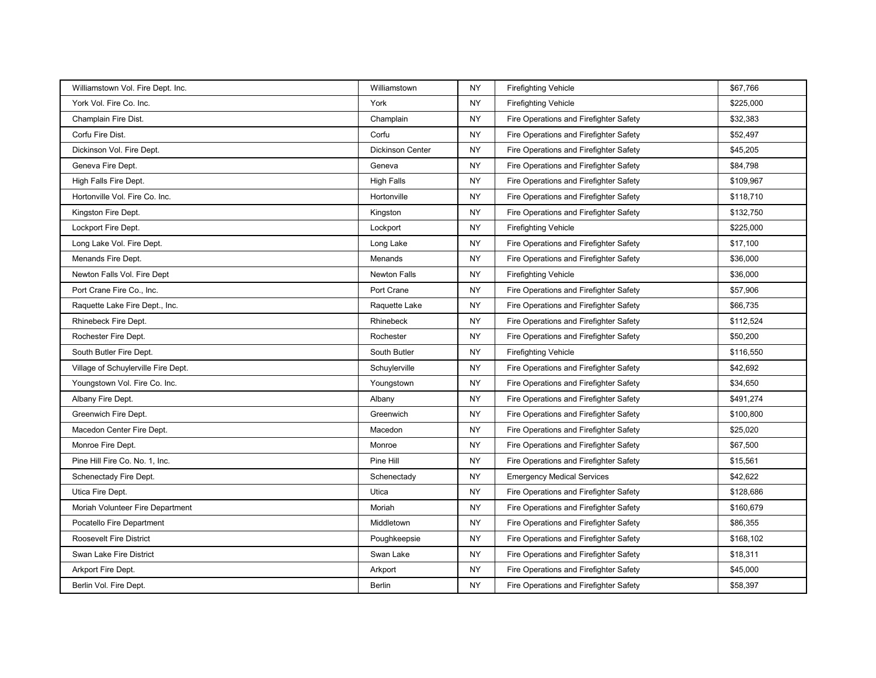| Williamstown Vol. Fire Dept. Inc.   | Williamstown            | <b>NY</b> | <b>Firefighting Vehicle</b>            | \$67,766  |
|-------------------------------------|-------------------------|-----------|----------------------------------------|-----------|
| York Vol. Fire Co. Inc.             | York                    | <b>NY</b> | <b>Firefighting Vehicle</b>            | \$225,000 |
| Champlain Fire Dist.                | Champlain               | <b>NY</b> | Fire Operations and Firefighter Safety | \$32,383  |
| Corfu Fire Dist.                    | Corfu                   | <b>NY</b> | Fire Operations and Firefighter Safety | \$52,497  |
| Dickinson Vol. Fire Dept.           | <b>Dickinson Center</b> | <b>NY</b> | Fire Operations and Firefighter Safety | \$45,205  |
| Geneva Fire Dept.                   | Geneva                  | <b>NY</b> | Fire Operations and Firefighter Safety | \$84,798  |
| High Falls Fire Dept.               | <b>High Falls</b>       | <b>NY</b> | Fire Operations and Firefighter Safety | \$109,967 |
| Hortonville Vol. Fire Co. Inc.      | Hortonville             | <b>NY</b> | Fire Operations and Firefighter Safety | \$118,710 |
| Kingston Fire Dept.                 | Kingston                | <b>NY</b> | Fire Operations and Firefighter Safety | \$132,750 |
| Lockport Fire Dept.                 | Lockport                | <b>NY</b> | <b>Firefighting Vehicle</b>            | \$225,000 |
| Long Lake Vol. Fire Dept.           | Long Lake               | <b>NY</b> | Fire Operations and Firefighter Safety | \$17,100  |
| Menands Fire Dept.                  | Menands                 | <b>NY</b> | Fire Operations and Firefighter Safety | \$36,000  |
| Newton Falls Vol. Fire Dept         | <b>Newton Falls</b>     | <b>NY</b> | <b>Firefighting Vehicle</b>            | \$36,000  |
| Port Crane Fire Co., Inc.           | Port Crane              | <b>NY</b> | Fire Operations and Firefighter Safety | \$57,906  |
| Raquette Lake Fire Dept., Inc.      | Raquette Lake           | <b>NY</b> | Fire Operations and Firefighter Safety | \$66,735  |
| Rhinebeck Fire Dept.                | Rhinebeck               | <b>NY</b> | Fire Operations and Firefighter Safety | \$112,524 |
| Rochester Fire Dept.                | Rochester               | <b>NY</b> | Fire Operations and Firefighter Safety | \$50,200  |
| South Butler Fire Dept.             | South Butler            | <b>NY</b> | <b>Firefighting Vehicle</b>            | \$116,550 |
| Village of Schuylerville Fire Dept. | Schuylerville           | <b>NY</b> | Fire Operations and Firefighter Safety | \$42,692  |
| Youngstown Vol. Fire Co. Inc.       | Youngstown              | <b>NY</b> | Fire Operations and Firefighter Safety | \$34,650  |
| Albany Fire Dept.                   | Albany                  | <b>NY</b> | Fire Operations and Firefighter Safety | \$491.274 |
| Greenwich Fire Dept.                | Greenwich               | <b>NY</b> | Fire Operations and Firefighter Safety | \$100,800 |
| Macedon Center Fire Dept.           | Macedon                 | <b>NY</b> | Fire Operations and Firefighter Safety | \$25,020  |
| Monroe Fire Dept.                   | Monroe                  | <b>NY</b> | Fire Operations and Firefighter Safety | \$67,500  |
| Pine Hill Fire Co. No. 1, Inc.      | Pine Hill               | <b>NY</b> | Fire Operations and Firefighter Safety | \$15,561  |
| Schenectady Fire Dept.              | Schenectady             | <b>NY</b> | <b>Emergency Medical Services</b>      | \$42,622  |
| Utica Fire Dept.                    | Utica                   | <b>NY</b> | Fire Operations and Firefighter Safety | \$128,686 |
| Moriah Volunteer Fire Department    | Moriah                  | <b>NY</b> | Fire Operations and Firefighter Safety | \$160,679 |
| Pocatello Fire Department           | Middletown              | <b>NY</b> | Fire Operations and Firefighter Safety | \$86,355  |
| <b>Roosevelt Fire District</b>      | Poughkeepsie            | <b>NY</b> | Fire Operations and Firefighter Safety | \$168,102 |
| Swan Lake Fire District             | Swan Lake               | NY        | Fire Operations and Firefighter Safety | \$18,311  |
| Arkport Fire Dept.                  | Arkport                 | <b>NY</b> | Fire Operations and Firefighter Safety | \$45,000  |
| Berlin Vol. Fire Dept.              | <b>Berlin</b>           | NY.       | Fire Operations and Firefighter Safety | \$58,397  |